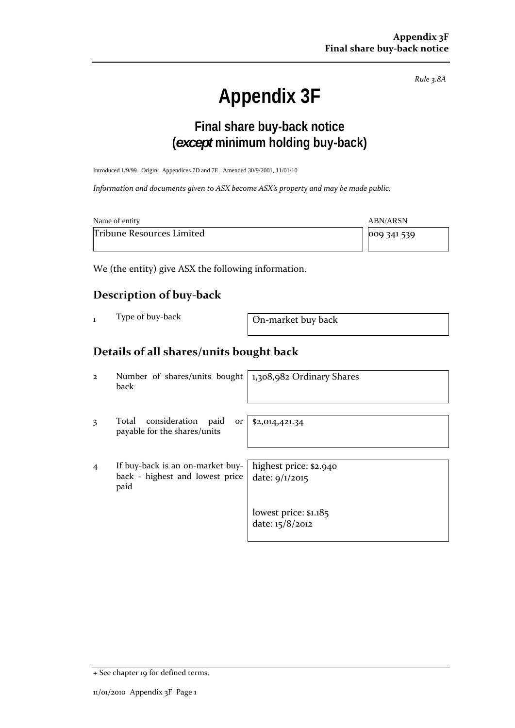*Rule 3.8A*

# **Appendix 3F**

## **Final share buy-back notice (***except* **minimum holding buy-back)**

Introduced 1/9/99. Origin: Appendices 7D and 7E. Amended 30/9/2001, 11/01/10

*Information and documents given to ASX become ASX's property and may be made public.*

| Name of entity            | ABN/ARSN         |
|---------------------------|------------------|
| Tribune Resources Limited | $ 009\,341\,539$ |

We (the entity) give ASX the following information.

#### **Description of buy‐back**

On-market buy back

### **Details of all shares/units bought back**

2 Number of shares/units bought back 1,308,982 Ordinary Shares 3 Total consideration paid or payable for the shares/units \$2,014,421.34 4 If buy‐back is an on‐market buy‐ back - highest and lowest price paid highest price: \$2.940 date: 9/1/2015 lowest price: \$1.185 date: 15/8/2012

<sup>+</sup> See chapter 19 for defined terms.